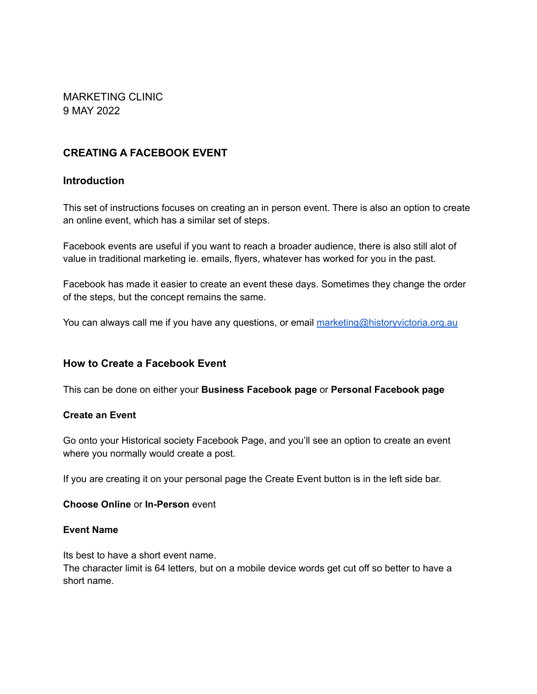MARKETING CLINIC 9 MAY 2022

# **CREATING A FACEBOOK EVENT**

## **Introduction**

This set of instructions focuses on creating an in person event. There is also an option to create an online event, which has a similar set of steps.

Facebook events are useful if you want to reach a broader audience, there is also still alot of value in traditional marketing ie. emails, flyers, whatever has worked for you in the past.

Facebook has made it easier to create an event these days. Sometimes they change the order of the steps, but the concept remains the same.

You can always call me if you have any questions, or email [marketing@historyvictoria.org.au](mailto:marketing@historyvictoria.org.au)

# **How to Create a Facebook Event**

This can be done on either your **Business Facebook page** or **Personal Facebook page**

#### **Create an Event**

Go onto your Historical society Facebook Page, and you'll see an option to create an event where you normally would create a post.

If you are creating it on your personal page the Create Event button is in the left side bar.

#### **Choose Online** or **In-Person** event

#### **Event Name**

Its best to have a short event name.

The character limit is 64 letters, but on a mobile device words get cut off so better to have a short name.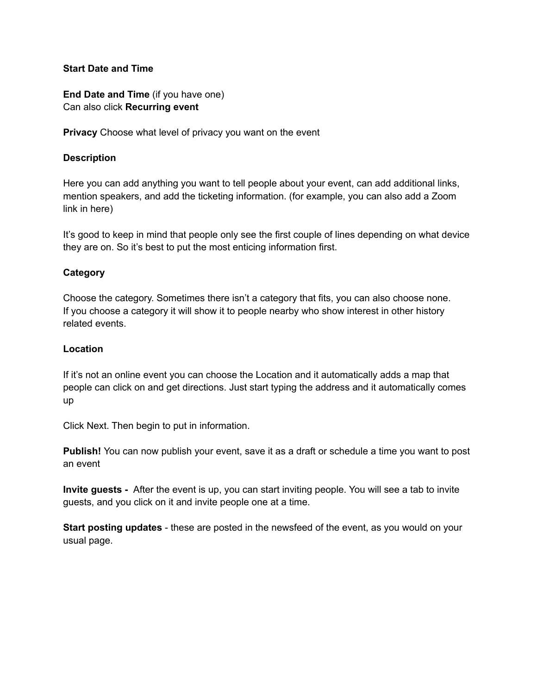#### **Start Date and Time**

**End Date and Time** (if you have one) Can also click **Recurring event**

**Privacy** Choose what level of privacy you want on the event

#### **Description**

Here you can add anything you want to tell people about your event, can add additional links, mention speakers, and add the ticketing information. (for example, you can also add a Zoom link in here)

It's good to keep in mind that people only see the first couple of lines depending on what device they are on. So it's best to put the most enticing information first.

#### **Category**

Choose the category. Sometimes there isn't a category that fits, you can also choose none. If you choose a category it will show it to people nearby who show interest in other history related events.

#### **Location**

If it's not an online event you can choose the Location and it automatically adds a map that people can click on and get directions. Just start typing the address and it automatically comes up

Click Next. Then begin to put in information.

**Publish!** You can now publish your event, save it as a draft or schedule a time you want to post an event

**Invite guests -** After the event is up, you can start inviting people. You will see a tab to invite guests, and you click on it and invite people one at a time.

**Start posting updates** - these are posted in the newsfeed of the event, as you would on your usual page.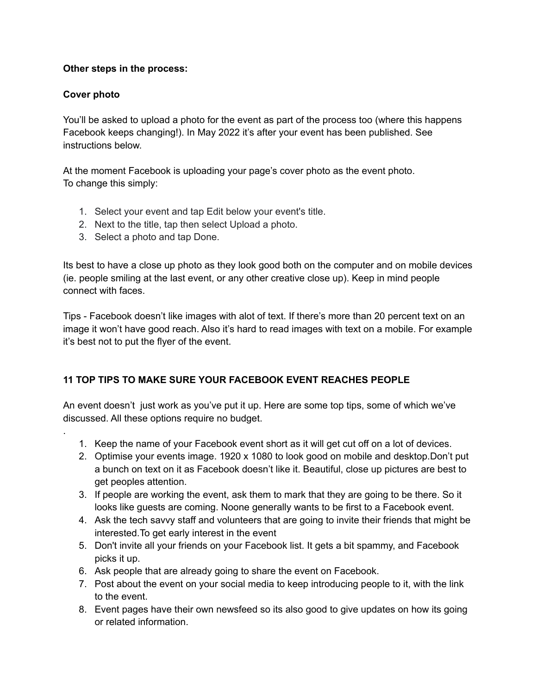### **Other steps in the process:**

## **Cover photo**

.

You'll be asked to upload a photo for the event as part of the process too (where this happens Facebook keeps changing!). In May 2022 it's after your event has been published. See instructions below.

At the moment Facebook is uploading your page's cover photo as the event photo. To change this simply:

- 1. Select your event and tap Edit below your event's title.
- 2. Next to the title, tap then select Upload a photo.
- 3. Select a photo and tap Done.

Its best to have a close up photo as they look good both on the computer and on mobile devices (ie. people smiling at the last event, or any other creative close up). Keep in mind people connect with faces.

Tips - Facebook doesn't like images with alot of text. If there's more than 20 percent text on an image it won't have good reach. Also it's hard to read images with text on a mobile. For example it's best not to put the flyer of the event.

# **11 TOP TIPS TO MAKE SURE YOUR FACEBOOK EVENT REACHES PEOPLE**

An event doesn't just work as you've put it up. Here are some top tips, some of which we've discussed. All these options require no budget.

- 1. Keep the name of your Facebook event short as it will get cut off on a lot of devices.
- 2. Optimise your events image. 1920 x 1080 to look good on mobile and desktop.Don't put a bunch on text on it as Facebook doesn't like it. Beautiful, close up pictures are best to get peoples attention.
- 3. If people are working the event, ask them to mark that they are going to be there. So it looks like guests are coming. Noone generally wants to be first to a Facebook event.
- 4. Ask the tech savvy staff and volunteers that are going to invite their friends that might be interested.To get early interest in the event
- 5. Don't invite all your friends on your Facebook list. It gets a bit spammy, and Facebook picks it up.
- 6. Ask people that are already going to share the event on Facebook.
- 7. Post about the event on your social media to keep introducing people to it, with the link to the event.
- 8. Event pages have their own newsfeed so its also good to give updates on how its going or related information.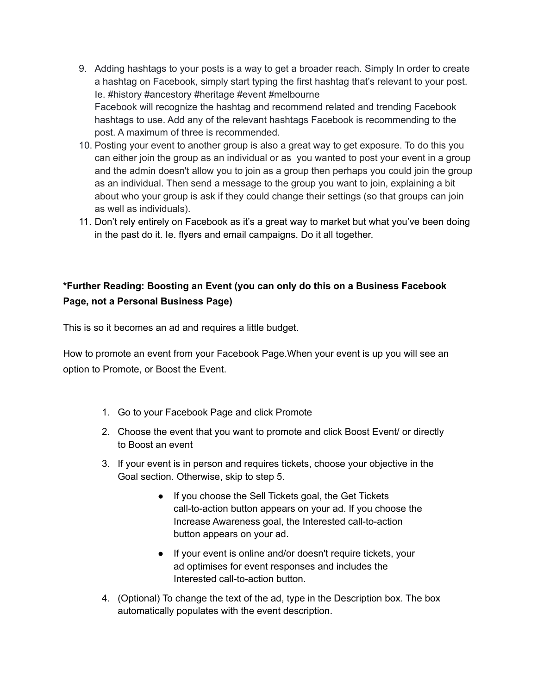- 9. Adding hashtags to your posts is a way to get a broader reach. Simply In order to create a hashtag on Facebook, simply start typing the first hashtag that's relevant to your post. Ie. #history #ancestory #heritage #event #melbourne Facebook will recognize the hashtag and recommend related and trending Facebook hashtags to use. Add any of the relevant hashtags Facebook is recommending to the post. A maximum of three is recommended.
- 10. Posting your event to another group is also a great way to get exposure. To do this you can either join the group as an individual or as you wanted to post your event in a group and the admin doesn't allow you to join as a group then perhaps you could join the group as an individual. Then send a message to the group you want to join, explaining a bit about who your group is ask if they could change their settings (so that groups can join as well as individuals).
- 11. Don't rely entirely on Facebook as it's a great way to market but what you've been doing in the past do it. Ie. flyers and email campaigns. Do it all together.

# **\*Further Reading: Boosting an Event (you can only do this on a Business Facebook Page, not a Personal Business Page)**

This is so it becomes an ad and requires a little budget.

How to promote an event from your Facebook Page.When your event is up you will see an option to Promote, or Boost the Event.

- 1. Go to your Facebook Page and click Promote
- 2. Choose the event that you want to promote and click Boost Event/ or directly to Boost an event
- 3. If your event is in person and requires tickets, choose your objective in the Goal section. Otherwise, skip to step 5.
	- If you choose the Sell Tickets goal, the Get Tickets call-to-action button appears on your ad. If you choose the Increase Awareness goal, the Interested call-to-action button appears on your ad.
	- If your event is online and/or doesn't require tickets, your ad optimises for event responses and includes the Interested call-to-action button.
- 4. (Optional) To change the text of the ad, type in the Description box. The box automatically populates with the event description.